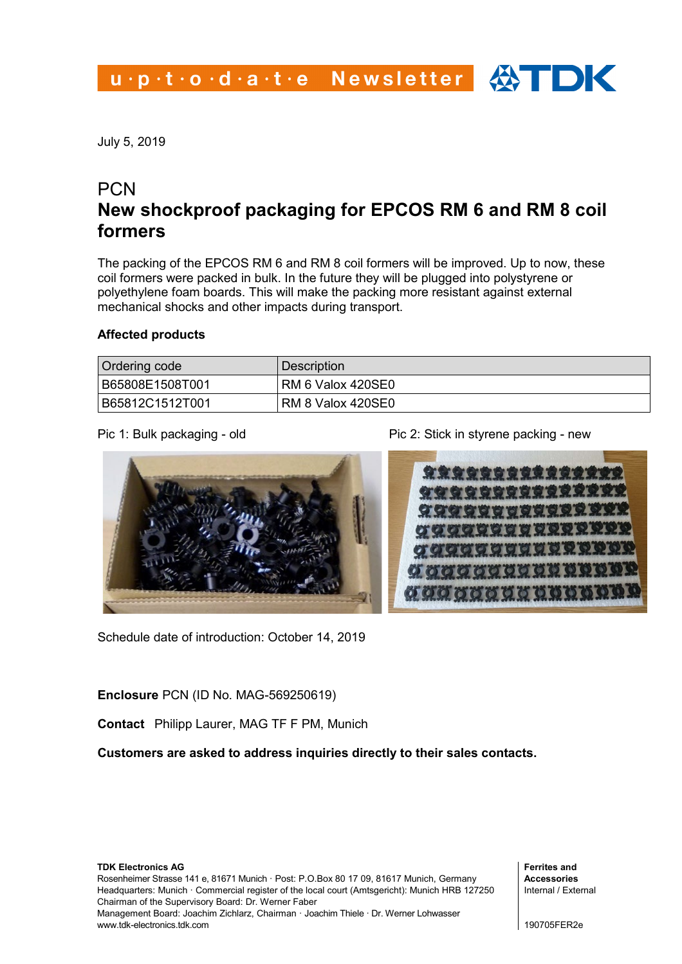July 5, 2019

## **PCN New shockproof packaging for EPCOS RM 6 and RM 8 coil formers**

The packing of the EPCOS RM 6 and RM 8 coil formers will be improved. Up to now, these coil formers were packed in bulk. In the future they will be plugged into polystyrene or polyethylene foam boards. This will make the packing more resistant against external mechanical shocks and other impacts during transport.

## **Affected products**

| Ordering code   | Description              |  |
|-----------------|--------------------------|--|
| B65808E1508T001 | <b>RM 6 Valox 420SE0</b> |  |
| B65812C1512T001 | <b>RM 8 Valox 420SE0</b> |  |



Schedule date of introduction: October 14, 2019

Pic 1: Bulk packaging - old **Pic 2: Stick in styrene packing - new** 



**Enclosure** PCN (ID No. MAG-569250619)

**Contact** Philipp Laurer, MAG TF F PM, Munich

**Customers are asked to address inquiries directly to their sales contacts.**

**TDK Electronics AG** Rosenheimer Strasse 141 e, 81671 Munich · Post: P.O.Box 80 17 09, 81617 Munich, Germany Headquarters: Munich · Commercial register of the local court (Amtsgericht): Munich HRB 127250 Chairman of the Supervisory Board: Dr. Werner Faber Management Board: Joachim Zichlarz, Chairman · Joachim Thiele · Dr. Werner Lohwasser www.tdk-electronics.tdk.com

**Ferrites and Accessories** Internal / External

190705FER2e